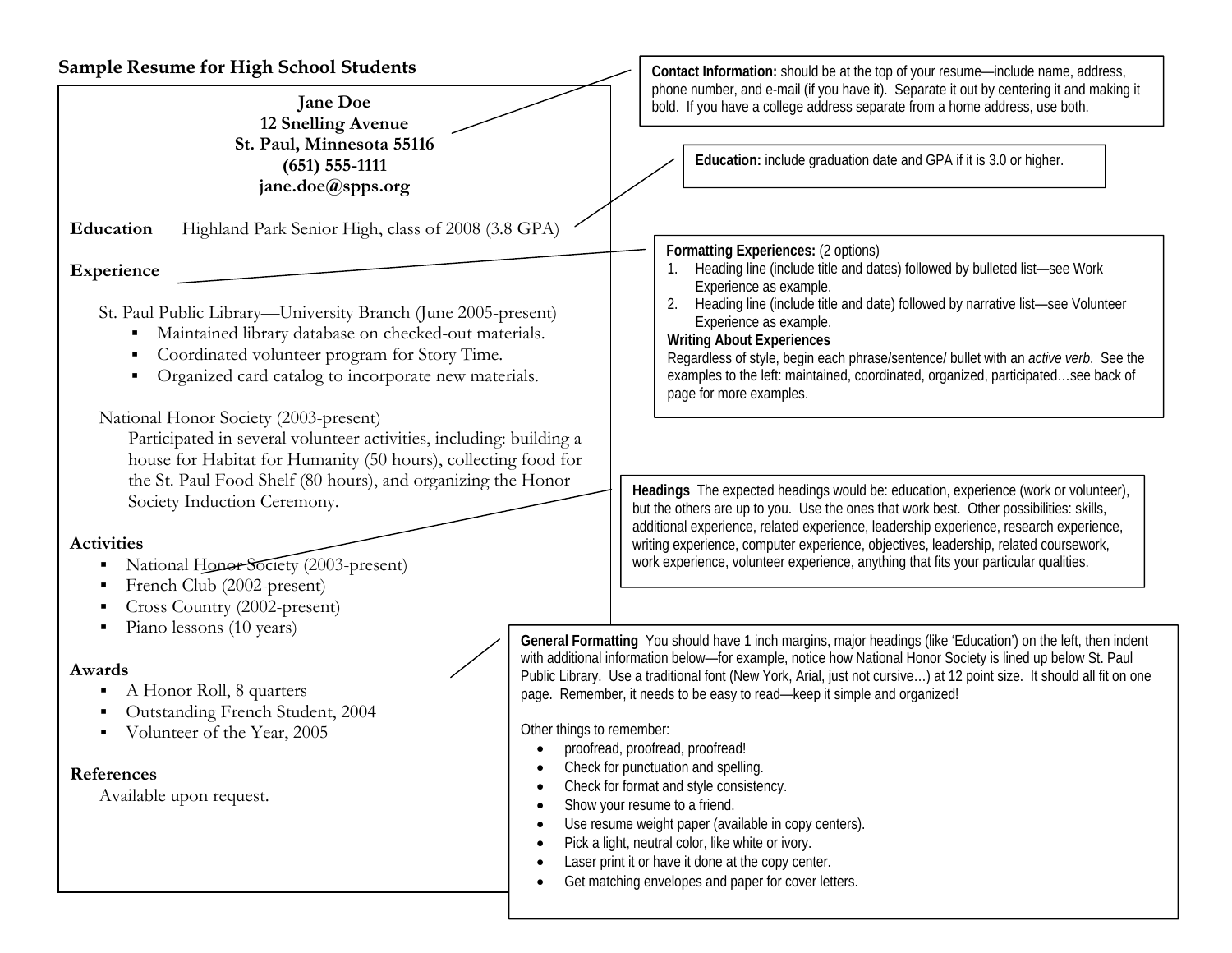